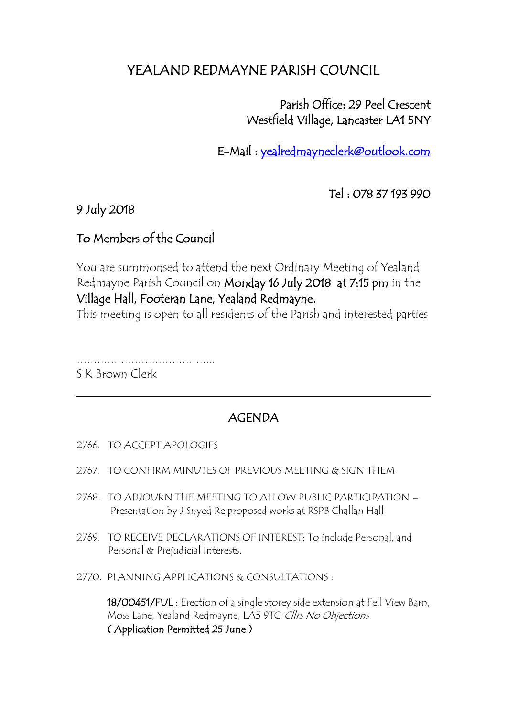# YEALAND REDMAYNE PARISH COUNCIL

## Parish Office: 29 Peel Crescent Westfield Village, Lancaster LA1 5NY

E-Mail : [yealredmayneclerk@outlook.com](mailto:yealredmayneclerk@outlook.com) 

Tel : 078 37 193 990

#### 9 July 2018

### To Members of the Council

You are summonsed to attend the next Ordinary Meeting of Yealand Redmayne Parish Council on Monday 16 July 2018 at 7:15 pm in the Village Hall, Footeran Lane, Yealand Redmayne.

This meeting is open to all residents of the Parish and interested parties

…………………………………..

S K Brown Clerk

### AGENDA

- 2766. TO ACCEPT APOLOGIES
- 2767. TO CONFIRM MINUTES OF PREVIOUS MEETING & SIGN THEM
- 2768. TO ADJOURN THE MEETING TO ALLOW PUBLIC PARTICIPATION Presentation by J Snyed Re proposed works at RSPB Challan Hall
- 2769. TO RECEIVE DECLARATIONS OF INTEREST; To include Personal, and Personal & Prejudicial Interests.
- 2770. PLANNING APPLICATIONS & CONSULTATIONS :

18/00451/FUL : Erection of a single storey side extension at Fell View Barn, Moss Lane, Yealand Redmayne, LA5 9TG Cllrs No Objections ( Application Permitted 25 June )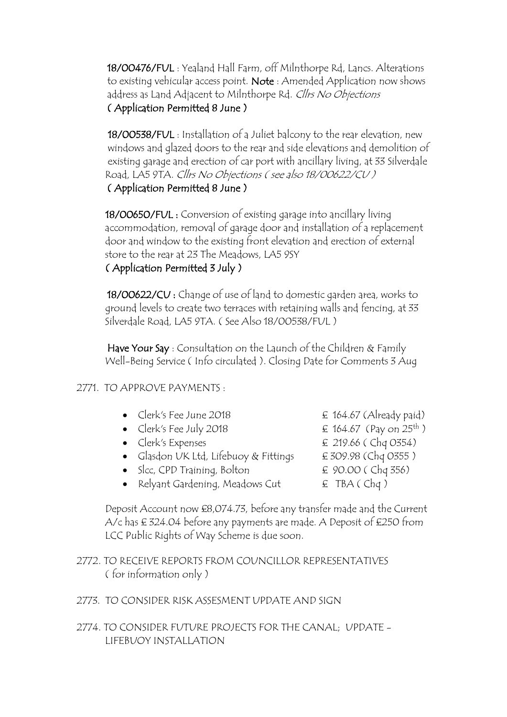18/00476/FUL : Yealand Hall Farm, off Milnthorpe Rd, Lancs. Alterations to existing vehicular access point. Note : Amended Application now shows address as Land Adjacent to Milnthorpe Rd. Cllrs No Objections ( Application Permitted 8 June )

 18/00538/FUL : Installation of a Juliet balcony to the rear elevation, new windows and glazed doors to the rear and side elevations and demolition of existing garage and erection of car port with ancillary living, at 33 Silverdale Road, LA5 9TA. Cllrs No Objections ( see also 18/00622/CU ) ( Application Permitted 8 June )

 18/00650/FUL : Conversion of existing garage into ancillary living accommodation, removal of garage door and installation of a replacement door and window to the existing front elevation and erection of external store to the rear at 23 The Meadows, LA5 9SY

#### ( Application Permitted 3 July )

 18/00622/CU : Change of use of land to domestic garden area, works to ground levels to create two terraces with retaining walls and fencing, at 33 Silverdale Road, LA5 9TA. ( See Also 18/00538/FUL )

Have Your Say: Consultation on the Launch of the Children & Family Well-Being Service ( Info circulated ). Closing Date for Comments 3 Aug

#### 2771. TO APPROVE PAYMENTS :

| $\pounds$ 164.67 (Already paid)             |
|---------------------------------------------|
| $\pounds$ 164.67 (Pay on 25 <sup>th</sup> ) |
|                                             |
|                                             |
|                                             |
|                                             |
|                                             |

 Deposit Account now £8,074.73, before any transfer made and the Current A/c has £ 324.04 before any payments are made. A Deposit of £250 from LCC Public Rights of Way Scheme is due soon.

- 2772. TO RECEIVE REPORTS FROM COUNCILLOR REPRESENTATIVES ( for information only )
- 2773. TO CONSIDER RISK ASSESMENT UPDATE AND SIGN
- 2774. TO CONSIDER FUTURE PROJECTS FOR THE CANAL; UPDATE LIFEBUOY INSTALLATION